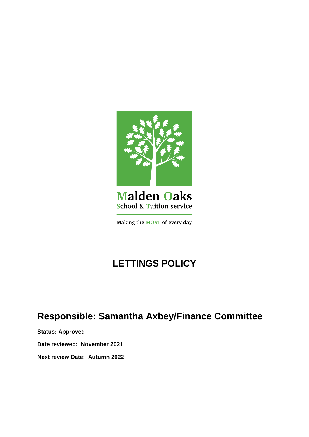

# **Malden Oaks School & Tuition service**

Making the MOST of every day

# **LETTINGS POLICY**

# **Responsible: Samantha Axbey/Finance Committee**

**Status: Approved**

**Date reviewed: November 2021**

**Next review Date: Autumn 2022**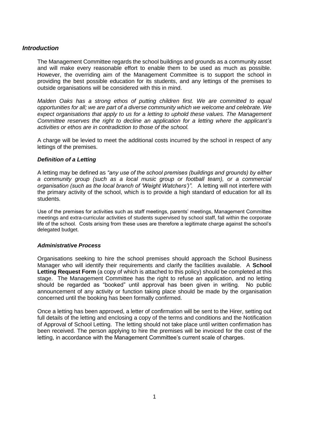# *Introduction*

The Management Committee regards the school buildings and grounds as a community asset and will make every reasonable effort to enable them to be used as much as possible. However, the overriding aim of the Management Committee is to support the school in providing the best possible education for its students, and any lettings of the premises to outside organisations will be considered with this in mind.

*Malden Oaks has a strong ethos of putting children first. We are committed to equal opportunities for all; we are part of a diverse community which we welcome and celebrate. We expect organisations that apply to us for a letting to uphold these values. The Management Committee reserves the right to decline an application for a letting where the applicant's activities or ethos are in contradiction to those of the school.*

A charge will be levied to meet the additional costs incurred by the school in respect of any lettings of the premises.

# *Definition of a Letting*

A letting may be defined as *"any use of the school premises (buildings and grounds) by either a community group (such as a local music group or football team), or a commercial organisation (such as the local branch of 'Weight Watchers')".* A letting will not interfere with the primary activity of the school, which is to provide a high standard of education for all its students.

Use of the premises for activities such as staff meetings, parents' meetings, Management Committee meetings and extra-curricular activities of students supervised by school staff, fall within the corporate life of the school. Costs arising from these uses are therefore a legitimate charge against the school's delegated budget.

# *Administrative Process*

Organisations seeking to hire the school premises should approach the School Business Manager who will identify their requirements and clarify the facilities available. A **School**  Letting Request Form (a copy of which is attached to this policy) should be completed at this stage. The Management Committee has the right to refuse an application, and no letting should be regarded as "booked" until approval has been given in writing. No public announcement of any activity or function taking place should be made by the organisation concerned until the booking has been formally confirmed.

Once a letting has been approved, a letter of confirmation will be sent to the Hirer, setting out full details of the letting and enclosing a copy of the terms and conditions and the Notification of Approval of School Letting. The letting should not take place until written confirmation has been received. The person applying to hire the premises will be invoiced for the cost of the letting, in accordance with the Management Committee's current scale of charges.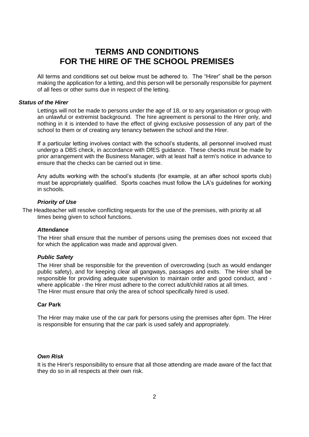# **TERMS AND CONDITIONS FOR THE HIRE OF THE SCHOOL PREMISES**

All terms and conditions set out below must be adhered to. The "Hirer" shall be the person making the application for a letting, and this person will be personally responsible for payment of all fees or other sums due in respect of the letting.

### *Status of the Hirer*

Lettings will not be made to persons under the age of 18, or to any organisation or group with an unlawful or extremist background. The hire agreement is personal to the Hirer only, and nothing in it is intended to have the effect of giving exclusive possession of any part of the school to them or of creating any tenancy between the school and the Hirer.

If a particular letting involves contact with the school's students, all personnel involved must undergo a DBS check, in accordance with DfES guidance. These checks must be made by prior arrangement with the Business Manager, with at least half a term's notice in advance to ensure that the checks can be carried out in time.

Any adults working with the school's students (for example, at an after school sports club) must be appropriately qualified. Sports coaches must follow the LA's guidelines for working in schools.

### *Priority of Use*

The Headteacher will resolve conflicting requests for the use of the premises, with priority at all times being given to school functions.

#### *Attendance*

The Hirer shall ensure that the number of persons using the premises does not exceed that for which the application was made and approval given.

# *Public Safety*

The Hirer shall be responsible for the prevention of overcrowding (such as would endanger public safety), and for keeping clear all gangways, passages and exits. The Hirer shall be responsible for providing adequate supervision to maintain order and good conduct, and where applicable - the Hirer must adhere to the correct adult/child ratios at all times. The Hirer must ensure that only the area of school specifically hired is used.

# **Car Park**

The Hirer may make use of the car park for persons using the premises after 6pm. The Hirer is responsible for ensuring that the car park is used safely and appropriately.

### *Own Risk*

It is the Hirer's responsibility to ensure that all those attending are made aware of the fact that they do so in all respects at their own risk.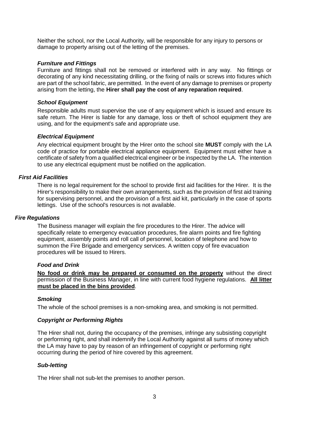Neither the school, nor the Local Authority, will be responsible for any injury to persons or damage to property arising out of the letting of the premises.

### *Furniture and Fittings*

Furniture and fittings shall not be removed or interfered with in any way. No fittings or decorating of any kind necessitating drilling, or the fixing of nails or screws into fixtures which are part of the school fabric, are permitted. In the event of any damage to premises or property arising from the letting, the **Hirer shall pay the cost of any reparation required**.

# *School Equipment*

Responsible adults must supervise the use of any equipment which is issued and ensure its safe return. The Hirer is liable for any damage, loss or theft of school equipment they are using, and for the equipment's safe and appropriate use.

### *Electrical Equipment*

Any electrical equipment brought by the Hirer onto the school site **MUST** comply with the LA code of practice for portable electrical appliance equipment. Equipment must either have a certificate of safety from a qualified electrical engineer or be inspected by the LA. The intention to use any electrical equipment must be notified on the application.

## *First Aid Facilities*

There is no legal requirement for the school to provide first aid facilities for the Hirer. It is the Hirer's responsibility to make their own arrangements, such as the provision of first aid training for supervising personnel, and the provision of a first aid kit, particularly in the case of sports lettings. Use of the school's resources is not available.

#### *Fire Regulations*

The Business manager will explain the fire procedures to the Hirer. The advice will specifically relate to emergency evacuation procedures, fire alarm points and fire fighting equipment, assembly points and roll call of personnel, location of telephone and how to summon the Fire Brigade and emergency services. A written copy of fire evacuation procedures will be issued to Hirers.

## *Food and Drink*

**No food or drink may be prepared or consumed on the property** without the direct permission of the Business Manager, in line with current food hygiene regulations. **All litter must be placed in the bins provided**.

# *Smoking*

The whole of the school premises is a non-smoking area, and smoking is not permitted.

# *Copyright or Performing Rights*

The Hirer shall not, during the occupancy of the premises, infringe any subsisting copyright or performing right, and shall indemnify the Local Authority against all sums of money which the LA may have to pay by reason of an infringement of copyright or performing right occurring during the period of hire covered by this agreement.

#### *Sub-letting*

The Hirer shall not sub-let the premises to another person.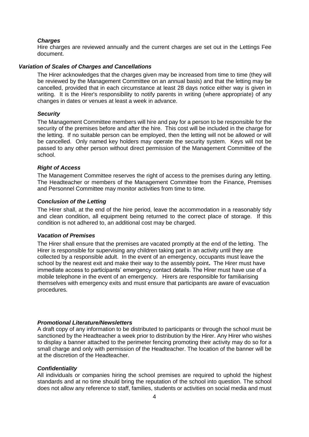#### *Charges*

Hire charges are reviewed annually and the current charges are set out in the Lettings Fee document.

### *Variation of Scales of Charges and Cancellations*

The Hirer acknowledges that the charges given may be increased from time to time (they will be reviewed by the Management Committee on an annual basis) and that the letting may be cancelled, provided that in each circumstance at least 28 days notice either way is given in writing. It is the Hirer's responsibility to notify parents in writing (where appropriate) of any changes in dates or venues at least a week in advance.

#### *Security*

The Management Committee members will hire and pay for a person to be responsible for the security of the premises before and after the hire. This cost will be included in the charge for the letting. If no suitable person can be employed, then the letting will not be allowed or will be cancelled. Only named key holders may operate the security system. Keys will not be passed to any other person without direct permission of the Management Committee of the school.

#### *Right of Access*

The Management Committee reserves the right of access to the premises during any letting. The Headteacher or members of the Management Committee from the Finance, Premises and Personnel Committee may monitor activities from time to time.

## *Conclusion of the Letting*

The Hirer shall, at the end of the hire period, leave the accommodation in a reasonably tidy and clean condition, all equipment being returned to the correct place of storage. If this condition is not adhered to, an additional cost may be charged.

# *Vacation of Premises*

The Hirer shall ensure that the premises are vacated promptly at the end of the letting. The Hirer is responsible for supervising any children taking part in an activity until they are collected by a responsible adult. In the event of an emergency, occupants must leave the school by the nearest exit and make their way to the assembly point**.** The Hirer must have immediate access to participants' emergency contact details. The Hirer must have use of a mobile telephone in the event of an emergency. Hirers are responsible for familiarising themselves with emergency exits and must ensure that participants are aware of evacuation procedures.

#### *Promotional Literature/Newsletters*

A draft copy of any information to be distributed to participants or through the school must be sanctioned by the Headteacher a week prior to distribution by the Hirer. Any Hirer who wishes to display a banner attached to the perimeter fencing promoting their activity may do so for a small charge and only with permission of the Headteacher. The location of the banner will be at the discretion of the Headteacher.

#### *Confidentiality*

All individuals or companies hiring the school premises are required to uphold the highest standards and at no time should bring the reputation of the school into question. The school does not allow any reference to staff, families, students or activities on social media and must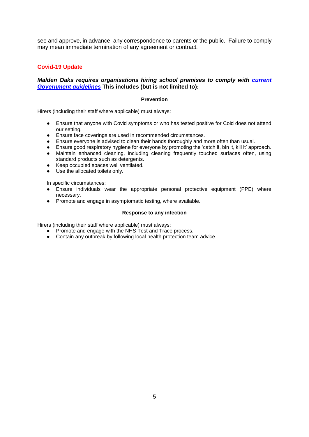see and approve, in advance, any correspondence to parents or the public. Failure to comply may mean immediate termination of any agreement or contract.

# **Covid-19 Update**

# *Malden Oaks requires organisations hiring school premises to comply with [current](https://www.gov.uk/government/publications/protective-measures-for-holiday-or-after-school-clubs-and-other-out-of-school-settings-for-children-during-the-coronavirus-covid-19-outbreak/protective-measures-for-out-of-school-settings-during-the-coronavirus-covid-19-outbreak)  [Government guidelines](https://www.gov.uk/government/publications/protective-measures-for-holiday-or-after-school-clubs-and-other-out-of-school-settings-for-children-during-the-coronavirus-covid-19-outbreak/protective-measures-for-out-of-school-settings-during-the-coronavirus-covid-19-outbreak)* **This includes (but is not limited to):**

#### **Prevention**

Hirers (including their staff where applicable) must always:

- Ensure that anyone with Covid symptoms or who has tested positive for Coid does not attend our setting.
- Ensure face coverings are used in recommended circumstances.
- Ensure everyone is advised to clean their hands thoroughly and more often than usual.
- Ensure good respiratory hygiene for everyone by promoting the 'catch it, bin it, kill it' approach.
- Maintain enhanced cleaning, including cleaning frequently touched surfaces often, using standard products such as detergents.
- Keep occupied spaces well ventilated.
- Use the allocated toilets only.

In specific circumstances:

- Ensure individuals wear the appropriate personal protective equipment (PPE) where necessary.
- Promote and engage in asymptomatic testing, where available.

#### **Response to any infection**

Hirers (including their staff where applicable) must always:

- Promote and engage with the NHS Test and Trace process.
- Contain any outbreak by following local health protection team advice.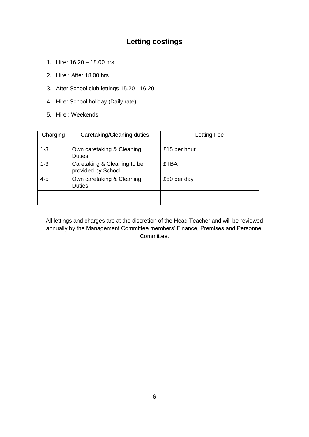# **Letting costings**

- 1. Hire: 16.20 18.00 hrs
- 2. Hire : After 18.00 hrs
- 3. After School club lettings 15.20 16.20
- 4. Hire: School holiday (Daily rate)
- 5. Hire : Weekends

| Charging | Caretaking/Cleaning duties                        | Letting Fee  |
|----------|---------------------------------------------------|--------------|
| $1 - 3$  | Own caretaking & Cleaning<br><b>Duties</b>        | £15 per hour |
| $1 - 3$  | Caretaking & Cleaning to be<br>provided by School | <b>£TBA</b>  |
| $4 - 5$  | Own caretaking & Cleaning<br><b>Duties</b>        | £50 per day  |
|          |                                                   |              |

All lettings and charges are at the discretion of the Head Teacher and will be reviewed annually by the Management Committee members' Finance, Premises and Personnel Committee.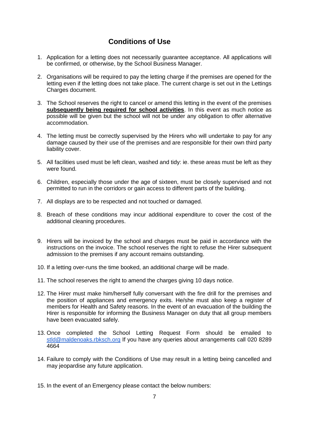# **Conditions of Use**

- 1. Application for a letting does not necessarily guarantee acceptance. All applications will be confirmed, or otherwise, by the School Business Manager.
- 2. Organisations will be required to pay the letting charge if the premises are opened for the letting even if the letting does not take place. The current charge is set out in the Lettings Charges document.
- 3. The School reserves the right to cancel or amend this letting in the event of the premises **subsequently being required for school activities**. In this event as much notice as possible will be given but the school will not be under any obligation to offer alternative accommodation.
- 4. The letting must be correctly supervised by the Hirers who will undertake to pay for any damage caused by their use of the premises and are responsible for their own third party liability cover.
- 5. All facilities used must be left clean, washed and tidy: ie. these areas must be left as they were found.
- 6. Children, especially those under the age of sixteen, must be closely supervised and not permitted to run in the corridors or gain access to different parts of the building.
- 7. All displays are to be respected and not touched or damaged.
- 8. Breach of these conditions may incur additional expenditure to cover the cost of the additional cleaning procedures.
- 9. Hirers will be invoiced by the school and charges must be paid in accordance with the instructions on the invoice. The school reserves the right to refuse the Hirer subsequent admission to the premises if any account remains outstanding.
- 10. If a letting over-runs the time booked, an additional charge will be made.
- 11. The school reserves the right to amend the charges giving 10 days notice.
- 12. The Hirer must make him/herself fully conversant with the fire drill for the premises and the position of appliances and emergency exits. He/she must also keep a register of members for Health and Safety reasons. In the event of an evacuation of the building the Hirer is responsible for informing the Business Manager on duty that all group members have been evacuated safely.
- 13. Once completed the School Letting Request Form should be emailed to [stld@maldenoaks.rbksch.org](mailto:stld@maldenoaks.rbksch.org) If you have any queries about arrangements call 020 8289 4664
- 14. Failure to comply with the Conditions of Use may result in a letting being cancelled and may jeopardise any future application.
- 15. In the event of an Emergency please contact the below numbers: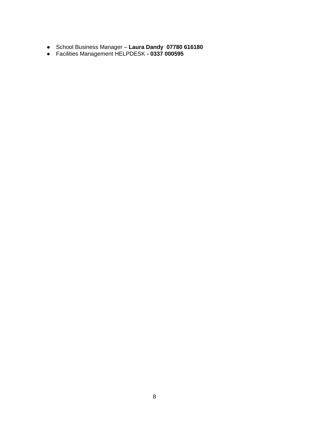- School Business Manager **Laura Dandy 07780 616180**
- Facilities Management HELPDESK **- 0337 000595**